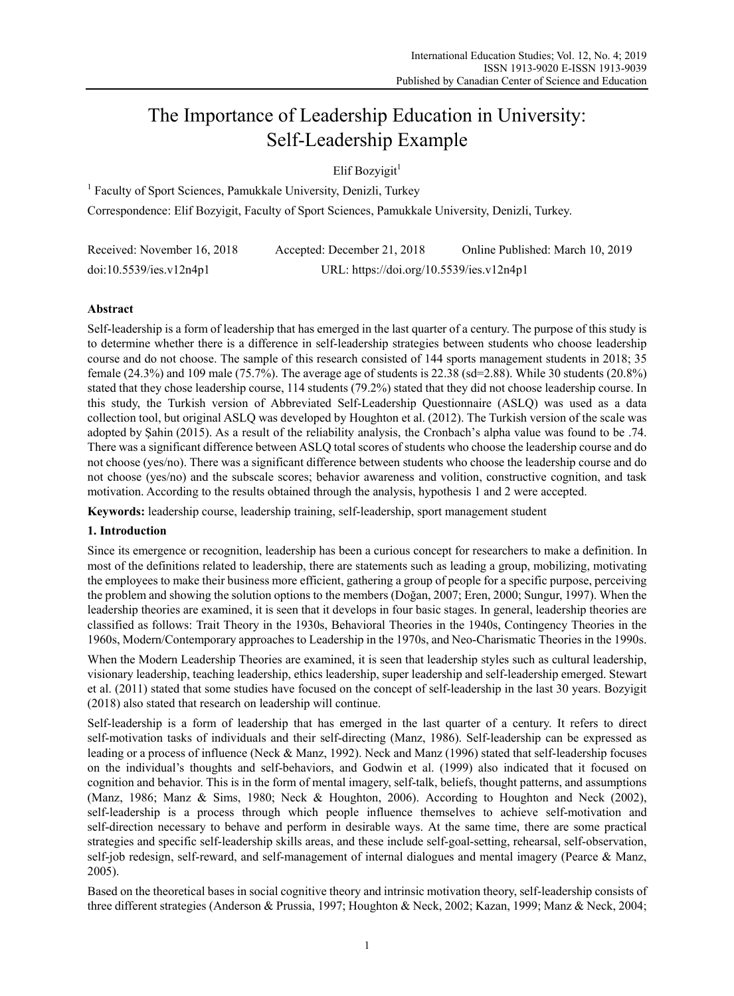# The Importance of Leadership Education in University: Self-Leadership Example

Elif Bozyigit $<sup>1</sup>$ </sup>

<sup>1</sup> Faculty of Sport Sciences, Pamukkale University, Denizli, Turkey Correspondence: Elif Bozyigit, Faculty of Sport Sciences, Pamukkale University, Denizli, Turkey.

| Received: November 16, 2018 | Accepted: December 21, 2018              | Online Published: March 10, 2019 |
|-----------------------------|------------------------------------------|----------------------------------|
| doi:10.5539/ies.v12n4p1     | URL: https://doi.org/10.5539/ies.v12n4p1 |                                  |

# **Abstract**

Self-leadership is a form of leadership that has emerged in the last quarter of a century. The purpose of this study is to determine whether there is a difference in self-leadership strategies between students who choose leadership course and do not choose. The sample of this research consisted of 144 sports management students in 2018; 35 female (24.3%) and 109 male (75.7%). The average age of students is 22.38 (sd=2.88). While 30 students (20.8%) stated that they chose leadership course, 114 students (79.2%) stated that they did not choose leadership course. In this study, the Turkish version of Abbreviated Self-Leadership Questionnaire (ASLQ) was used as a data collection tool, but original ASLQ was developed by Houghton et al. (2012). The Turkish version of the scale was adopted by Şahin (2015). As a result of the reliability analysis, the Cronbach's alpha value was found to be .74. There was a significant difference between ASLQ total scores of students who choose the leadership course and do not choose (yes/no). There was a significant difference between students who choose the leadership course and do not choose (yes/no) and the subscale scores; behavior awareness and volition, constructive cognition, and task motivation. According to the results obtained through the analysis, hypothesis 1 and 2 were accepted.

**Keywords:** leadership course, leadership training, self-leadership, sport management student

## **1. Introduction**

Since its emergence or recognition, leadership has been a curious concept for researchers to make a definition. In most of the definitions related to leadership, there are statements such as leading a group, mobilizing, motivating the employees to make their business more efficient, gathering a group of people for a specific purpose, perceiving the problem and showing the solution options to the members (Doğan, 2007; Eren, 2000; Sungur, 1997). When the leadership theories are examined, it is seen that it develops in four basic stages. In general, leadership theories are classified as follows: Trait Theory in the 1930s, Behavioral Theories in the 1940s, Contingency Theories in the 1960s, Modern/Contemporary approaches to Leadership in the 1970s, and Neo-Charismatic Theories in the 1990s.

When the Modern Leadership Theories are examined, it is seen that leadership styles such as cultural leadership, visionary leadership, teaching leadership, ethics leadership, super leadership and self-leadership emerged. Stewart et al. (2011) stated that some studies have focused on the concept of self-leadership in the last 30 years. Bozyigit (2018) also stated that research on leadership will continue.

Self-leadership is a form of leadership that has emerged in the last quarter of a century. It refers to direct self-motivation tasks of individuals and their self-directing (Manz, 1986). Self-leadership can be expressed as leading or a process of influence (Neck & Manz, 1992). Neck and Manz (1996) stated that self-leadership focuses on the individual's thoughts and self-behaviors, and Godwin et al. (1999) also indicated that it focused on cognition and behavior. This is in the form of mental imagery, self-talk, beliefs, thought patterns, and assumptions (Manz, 1986; Manz & Sims, 1980; Neck & Houghton, 2006). According to Houghton and Neck (2002), self-leadership is a process through which people influence themselves to achieve self-motivation and self-direction necessary to behave and perform in desirable ways. At the same time, there are some practical strategies and specific self-leadership skills areas, and these include self-goal-setting, rehearsal, self-observation, self-job redesign, self-reward, and self-management of internal dialogues and mental imagery (Pearce & Manz, 2005).

Based on the theoretical bases in social cognitive theory and intrinsic motivation theory, self-leadership consists of three different strategies (Anderson & Prussia, 1997; Houghton & Neck, 2002; Kazan, 1999; Manz & Neck, 2004;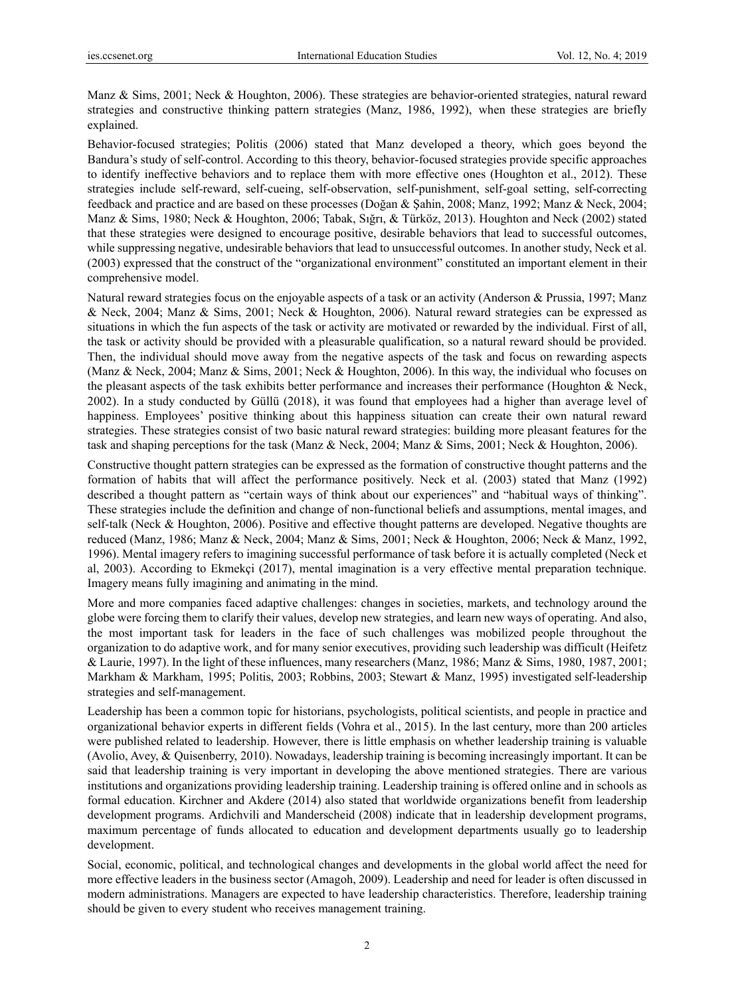Manz & Sims, 2001; Neck & Houghton, 2006). These strategies are behavior-oriented strategies, natural reward strategies and constructive thinking pattern strategies (Manz, 1986, 1992), when these strategies are briefly explained.

Behavior-focused strategies; Politis (2006) stated that Manz developed a theory, which goes beyond the Bandura's study of self-control. According to this theory, behavior-focused strategies provide specific approaches to identify ineffective behaviors and to replace them with more effective ones (Houghton et al., 2012). These strategies include self-reward, self-cueing, self-observation, self-punishment, self-goal setting, self-correcting feedback and practice and are based on these processes (Doğan & Şahin, 2008; Manz, 1992; Manz & Neck, 2004; Manz & Sims, 1980; Neck & Houghton, 2006; Tabak, Sığrı, & Türköz, 2013). Houghton and Neck (2002) stated that these strategies were designed to encourage positive, desirable behaviors that lead to successful outcomes, while suppressing negative, undesirable behaviors that lead to unsuccessful outcomes. In another study, Neck et al. (2003) expressed that the construct of the "organizational environment" constituted an important element in their comprehensive model.

Natural reward strategies focus on the enjoyable aspects of a task or an activity (Anderson & Prussia, 1997; Manz & Neck, 2004; Manz & Sims, 2001; Neck & Houghton, 2006). Natural reward strategies can be expressed as situations in which the fun aspects of the task or activity are motivated or rewarded by the individual. First of all, the task or activity should be provided with a pleasurable qualification, so a natural reward should be provided. Then, the individual should move away from the negative aspects of the task and focus on rewarding aspects (Manz & Neck, 2004; Manz & Sims, 2001; Neck & Houghton, 2006). In this way, the individual who focuses on the pleasant aspects of the task exhibits better performance and increases their performance (Houghton & Neck, 2002). In a study conducted by Güllü (2018), it was found that employees had a higher than average level of happiness. Employees' positive thinking about this happiness situation can create their own natural reward strategies. These strategies consist of two basic natural reward strategies: building more pleasant features for the task and shaping perceptions for the task (Manz & Neck, 2004; Manz & Sims, 2001; Neck & Houghton, 2006).

Constructive thought pattern strategies can be expressed as the formation of constructive thought patterns and the formation of habits that will affect the performance positively. Neck et al. (2003) stated that Manz (1992) described a thought pattern as "certain ways of think about our experiences" and "habitual ways of thinking". These strategies include the definition and change of non-functional beliefs and assumptions, mental images, and self-talk (Neck & Houghton, 2006). Positive and effective thought patterns are developed. Negative thoughts are reduced (Manz, 1986; Manz & Neck, 2004; Manz & Sims, 2001; Neck & Houghton, 2006; Neck & Manz, 1992, 1996). Mental imagery refers to imagining successful performance of task before it is actually completed (Neck et al, 2003). According to Ekmekçi (2017), mental imagination is a very effective mental preparation technique. Imagery means fully imagining and animating in the mind.

More and more companies faced adaptive challenges: changes in societies, markets, and technology around the globe were forcing them to clarify their values, develop new strategies, and learn new ways of operating. And also, the most important task for leaders in the face of such challenges was mobilized people throughout the organization to do adaptive work, and for many senior executives, providing such leadership was difficult (Heifetz & Laurie, 1997). In the light of these influences, many researchers (Manz, 1986; Manz & Sims, 1980, 1987, 2001; Markham & Markham, 1995; Politis, 2003; Robbins, 2003; Stewart & Manz, 1995) investigated self-leadership strategies and self-management.

Leadership has been a common topic for historians, psychologists, political scientists, and people in practice and organizational behavior experts in different fields (Vohra et al., 2015). In the last century, more than 200 articles were published related to leadership. However, there is little emphasis on whether leadership training is valuable (Avolio, Avey, & Quisenberry, 2010). Nowadays, leadership training is becoming increasingly important. It can be said that leadership training is very important in developing the above mentioned strategies. There are various institutions and organizations providing leadership training. Leadership training is offered online and in schools as formal education. Kirchner and Akdere (2014) also stated that worldwide organizations benefit from leadership development programs. Ardichvili and Manderscheid (2008) indicate that in leadership development programs, maximum percentage of funds allocated to education and development departments usually go to leadership development.

Social, economic, political, and technological changes and developments in the global world affect the need for more effective leaders in the business sector (Amagoh, 2009). Leadership and need for leader is often discussed in modern administrations. Managers are expected to have leadership characteristics. Therefore, leadership training should be given to every student who receives management training.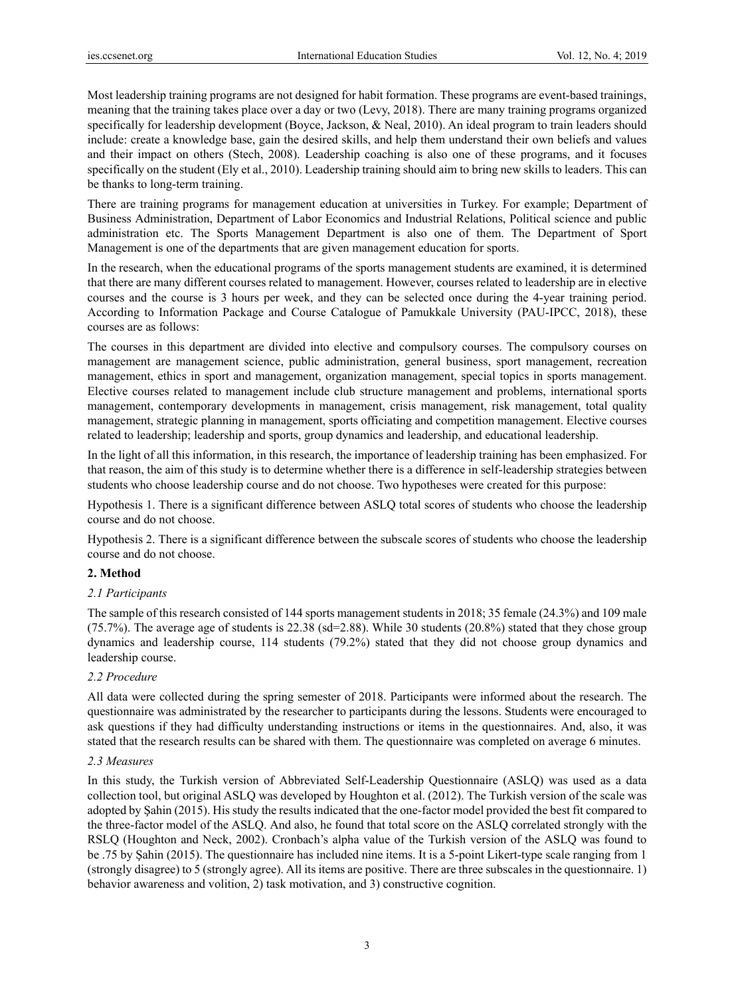Most leadership training programs are not designed for habit formation. These programs are event-based trainings, meaning that the training takes place over a day or two (Levy, 2018). There are many training programs organized specifically for leadership development (Boyce, Jackson, & Neal, 2010). An ideal program to train leaders should include: create a knowledge base, gain the desired skills, and help them understand their own beliefs and values and their impact on others (Stech, 2008). Leadership coaching is also one of these programs, and it focuses specifically on the student (Ely et al., 2010). Leadership training should aim to bring new skills to leaders. This can be thanks to long-term training.

There are training programs for management education at universities in Turkey. For example; Department of Business Administration, Department of Labor Economics and Industrial Relations, Political science and public administration etc. The Sports Management Department is also one of them. The Department of Sport Management is one of the departments that are given management education for sports.

In the research, when the educational programs of the sports management students are examined, it is determined that there are many different courses related to management. However, courses related to leadership are in elective courses and the course is 3 hours per week, and they can be selected once during the 4-year training period. According to Information Package and Course Catalogue of Pamukkale University (PAU-IPCC, 2018), these courses are as follows:

The courses in this department are divided into elective and compulsory courses. The compulsory courses on management are management science, public administration, general business, sport management, recreation management, ethics in sport and management, organization management, special topics in sports management. Elective courses related to management include club structure management and problems, international sports management, contemporary developments in management, crisis management, risk management, total quality management, strategic planning in management, sports officiating and competition management. Elective courses related to leadership; leadership and sports, group dynamics and leadership, and educational leadership.

In the light of all this information, in this research, the importance of leadership training has been emphasized. For that reason, the aim of this study is to determine whether there is a difference in self-leadership strategies between students who choose leadership course and do not choose. Two hypotheses were created for this purpose:

Hypothesis 1. There is a significant difference between ASLQ total scores of students who choose the leadership course and do not choose.

Hypothesis 2. There is a significant difference between the subscale scores of students who choose the leadership course and do not choose.

## **2. Method**

## *2.1 Participants*

The sample of this research consisted of 144 sports management students in 2018; 35 female (24.3%) and 109 male (75.7%). The average age of students is 22.38 (sd=2.88). While 30 students (20.8%) stated that they chose group dynamics and leadership course, 114 students (79.2%) stated that they did not choose group dynamics and leadership course.

## *2.2 Procedure*

All data were collected during the spring semester of 2018. Participants were informed about the research. The questionnaire was administrated by the researcher to participants during the lessons. Students were encouraged to ask questions if they had difficulty understanding instructions or items in the questionnaires. And, also, it was stated that the research results can be shared with them. The questionnaire was completed on average 6 minutes.

## *2.3 Measures*

In this study, the Turkish version of Abbreviated Self-Leadership Questionnaire (ASLQ) was used as a data collection tool, but original ASLQ was developed by Houghton et al. (2012). The Turkish version of the scale was adopted by Şahin (2015). His study the results indicated that the one-factor model provided the best fit compared to the three-factor model of the ASLQ. And also, he found that total score on the ASLQ correlated strongly with the RSLQ (Houghton and Neck, 2002). Cronbach's alpha value of the Turkish version of the ASLQ was found to be .75 by Şahin (2015). The questionnaire has included nine items. It is a 5-point Likert-type scale ranging from 1 (strongly disagree) to 5 (strongly agree). All its items are positive. There are three subscales in the questionnaire. 1) behavior awareness and volition, 2) task motivation, and 3) constructive cognition.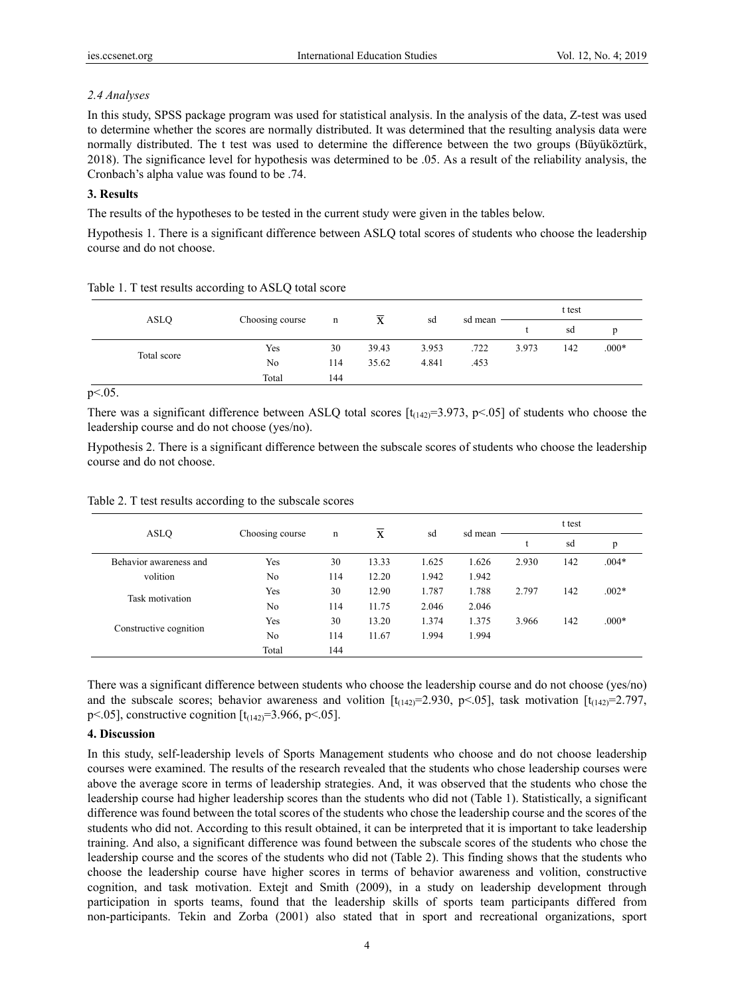## *2.4 Analyses*

In this study, SPSS package program was used for statistical analysis. In the analysis of the data, Z-test was used to determine whether the scores are normally distributed. It was determined that the resulting analysis data were normally distributed. The t test was used to determine the difference between the two groups (Büyüköztürk, 2018). The significance level for hypothesis was determined to be .05. As a result of the reliability analysis, the Cronbach's alpha value was found to be .74.

## **3. Results**

The results of the hypotheses to be tested in the current study were given in the tables below.

Hypothesis 1. There is a significant difference between ASLQ total scores of students who choose the leadership course and do not choose.

| <b>ASLQ</b> |                 | n   | X     | sd    | sd mean | t test |     |         |
|-------------|-----------------|-----|-------|-------|---------|--------|-----|---------|
|             | Choosing course |     |       |       |         |        | sd  | D       |
|             | Yes             | 30  | 39.43 | 3.953 | .722    | 3.973  | 142 | $.000*$ |
| Total score | No              | 114 | 35.62 | 4.841 | .453    |        |     |         |
|             | Total           | 144 |       |       |         |        |     |         |

| Table 1. T test results according to ASLQ total score |  |  |  |  |  |  |
|-------------------------------------------------------|--|--|--|--|--|--|
|-------------------------------------------------------|--|--|--|--|--|--|

 $p<.05$ .

There was a significant difference between ASLQ total scores  $[t_{(142)}=3.973, p<05]$  of students who choose the leadership course and do not choose (yes/no).

Hypothesis 2. There is a significant difference between the subscale scores of students who choose the leadership course and do not choose.

| ASLQ                   | Choosing course | n   | $\mathbf{X}$ | sd    | sd mean | t test |     |         |
|------------------------|-----------------|-----|--------------|-------|---------|--------|-----|---------|
|                        |                 |     |              |       |         |        | sd  | p       |
| Behavior awareness and | Yes             | 30  | 13.33        | 1.625 | 1.626   | 2.930  | 142 | $.004*$ |
| volition               | N <sub>0</sub>  | 114 | 12.20        | 1.942 | 1.942   |        |     |         |
|                        | Yes             | 30  | 12.90        | 1.787 | 1.788   | 2.797  | 142 | $.002*$ |
| Task motivation        | N <sub>0</sub>  | 114 | 11.75        | 2.046 | 2.046   |        |     |         |
| Constructive cognition | Yes             | 30  | 13.20        | 1.374 | 1.375   | 3.966  | 142 | $.000*$ |
|                        | N <sub>0</sub>  | 114 | 11.67        | 1.994 | 1.994   |        |     |         |
|                        | Total           | 144 |              |       |         |        |     |         |

Table 2. T test results according to the subscale scores

There was a significant difference between students who choose the leadership course and do not choose (yes/no) and the subscale scores; behavior awareness and volition  $[t_{(142)}=2.930, p<.05]$ , task motivation  $[t_{(142)}=2.797,$ p <.05], constructive cognition  $[t<sub>(142)</sub>=3.966, p<.05]$ .

## **4. Discussion**

In this study, self-leadership levels of Sports Management students who choose and do not choose leadership courses were examined. The results of the research revealed that the students who chose leadership courses were above the average score in terms of leadership strategies. And, it was observed that the students who chose the leadership course had higher leadership scores than the students who did not (Table 1). Statistically, a significant difference was found between the total scores of the students who chose the leadership course and the scores of the students who did not. According to this result obtained, it can be interpreted that it is important to take leadership training. And also, a significant difference was found between the subscale scores of the students who chose the leadership course and the scores of the students who did not (Table 2). This finding shows that the students who choose the leadership course have higher scores in terms of behavior awareness and volition, constructive cognition, and task motivation. Extejt and Smith (2009), in a study on leadership development through participation in sports teams, found that the leadership skills of sports team participants differed from non-participants. Tekin and Zorba (2001) also stated that in sport and recreational organizations, sport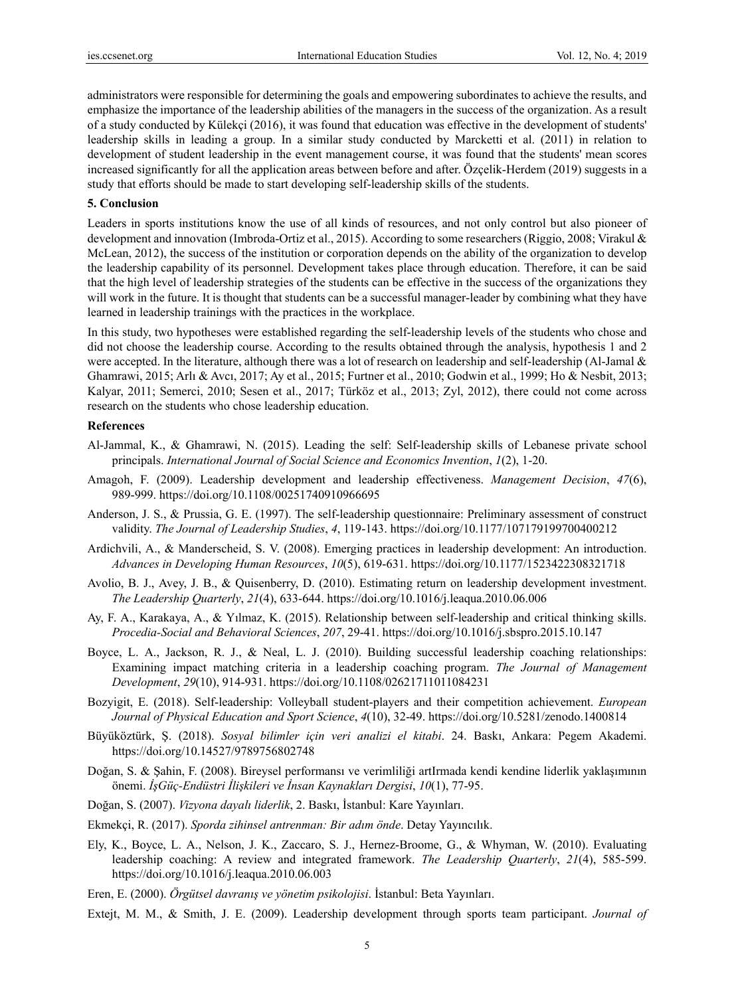administrators were responsible for determining the goals and empowering subordinates to achieve the results, and emphasize the importance of the leadership abilities of the managers in the success of the organization. As a result of a study conducted by Külekçi (2016), it was found that education was effective in the development of students' leadership skills in leading a group. In a similar study conducted by Marcketti et al. (2011) in relation to development of student leadership in the event management course, it was found that the students' mean scores increased significantly for all the application areas between before and after. Özçelik-Herdem (2019) suggests in a study that efforts should be made to start developing self-leadership skills of the students.

#### **5. Conclusion**

Leaders in sports institutions know the use of all kinds of resources, and not only control but also pioneer of development and innovation (Imbroda-Ortiz et al., 2015). According to some researchers (Riggio, 2008; Virakul & McLean, 2012), the success of the institution or corporation depends on the ability of the organization to develop the leadership capability of its personnel. Development takes place through education. Therefore, it can be said that the high level of leadership strategies of the students can be effective in the success of the organizations they will work in the future. It is thought that students can be a successful manager-leader by combining what they have learned in leadership trainings with the practices in the workplace.

In this study, two hypotheses were established regarding the self-leadership levels of the students who chose and did not choose the leadership course. According to the results obtained through the analysis, hypothesis 1 and 2 were accepted. In the literature, although there was a lot of research on leadership and self-leadership (Al-Jamal & Ghamrawi, 2015; Arlı & Avcı, 2017; Ay et al., 2015; Furtner et al., 2010; Godwin et al., 1999; Ho & Nesbit, 2013; Kalyar, 2011; Semerci, 2010; Sesen et al., 2017; Türköz et al., 2013; Zyl, 2012), there could not come across research on the students who chose leadership education.

#### **References**

- Al-Jammal, K., & Ghamrawi, N. (2015). Leading the self: Self-leadership skills of Lebanese private school principals. *International Journal of Social Science and Economics Invention*, *1*(2), 1-20.
- Amagoh, F. (2009). Leadership development and leadership effectiveness. *Management Decision*, *47*(6), 989-999. https://doi.org/10.1108/00251740910966695
- Anderson, J. S., & Prussia, G. E. (1997). The self-leadership questionnaire: Preliminary assessment of construct validity. *The Journal of Leadership Studies*, *4*, 119-143. https://doi.org/10.1177/107179199700400212
- Ardichvili, A., & Manderscheid, S. V. (2008). Emerging practices in leadership development: An introduction. *Advances in Developing Human Resources*, *10*(5), 619-631. https://doi.org/10.1177/1523422308321718
- Avolio, B. J., Avey, J. B., & Quisenberry, D. (2010). Estimating return on leadership development investment. *The Leadership Quarterly*, *21*(4), 633-644. https://doi.org/10.1016/j.leaqua.2010.06.006
- Ay, F. A., Karakaya, A., & Yılmaz, K. (2015). Relationship between self-leadership and critical thinking skills. *Procedia-Social and Behavioral Sciences*, *207*, 29-41. https://doi.org/10.1016/j.sbspro.2015.10.147
- Boyce, L. A., Jackson, R. J., & Neal, L. J. (2010). Building successful leadership coaching relationships: Examining impact matching criteria in a leadership coaching program. *The Journal of Management Development*, *29*(10), 914-931. https://doi.org/10.1108/02621711011084231
- Bozyigit, E. (2018). Self-leadership: Volleyball student-players and their competition achievement. *European Journal of Physical Education and Sport Science*, *4*(10), 32-49. https://doi.org/10.5281/zenodo.1400814
- Büyüköztürk, Ş. (2018). *Sosyal bilimler için veri analizi el kitabi*. 24. Baskı, Ankara: Pegem Akademi. https://doi.org/10.14527/9789756802748
- Doğan, S. & Şahin, F. (2008). Bireysel performansı ve verimliliği artIrmada kendi kendine liderlik yaklaşımının önemi. *İşGüç-Endüstri İlişkileri ve İnsan Kaynakları Dergisi*, *10*(1), 77-95.
- Doğan, S. (2007). *Vizyona dayalı liderlik*, 2. Baskı, İstanbul: Kare Yayınları.
- Ekmekçi, R. (2017). *Sporda zihinsel antrenman: Bir adım önde*. Detay Yayıncılık.
- Ely, K., Boyce, L. A., Nelson, J. K., Zaccaro, S. J., Hernez-Broome, G., & Whyman, W. (2010). Evaluating leadership coaching: A review and integrated framework. *The Leadership Quarterly*, *21*(4), 585-599. https://doi.org/10.1016/j.leaqua.2010.06.003
- Eren, E. (2000). *Örgütsel davranış ve yönetim psikolojisi*. İstanbul: Beta Yayınları.
- Extejt, M. M., & Smith, J. E. (2009). Leadership development through sports team participant. *Journal of*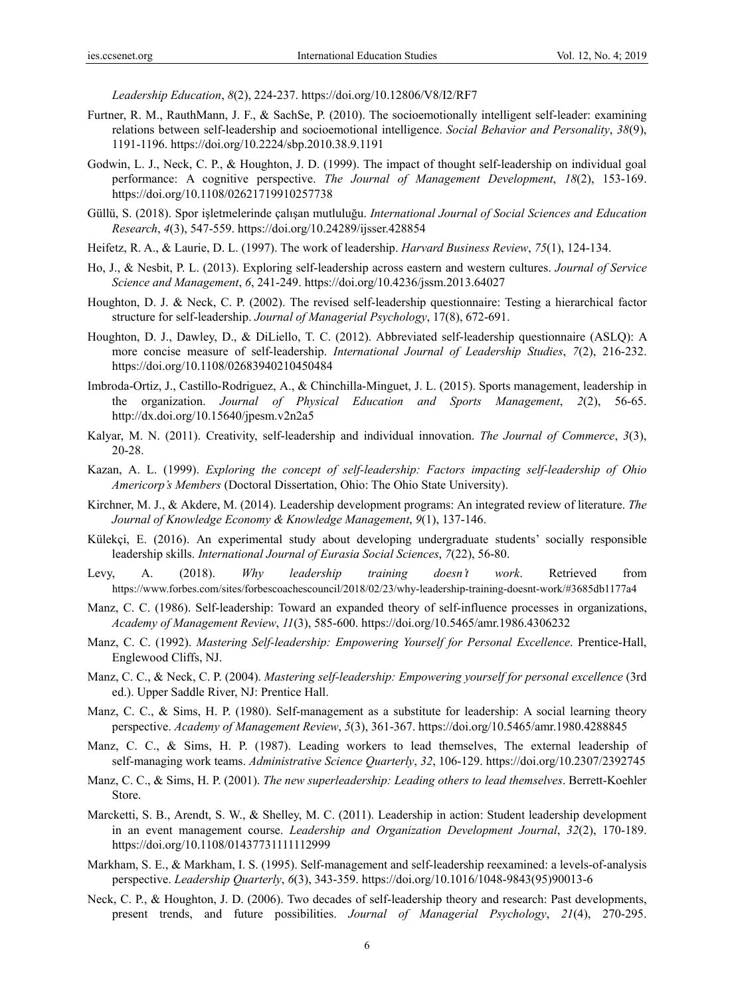*Leadership Education*, *8*(2), 224-237. https://doi.org/10.12806/V8/I2/RF7

- Furtner, R. M., RauthMann, J. F., & SachSe, P. (2010). The socioemotionally intelligent self-leader: examining relations between self-leadership and socioemotional intelligence. *Social Behavior and Personality*, *38*(9), 1191-1196. https://doi.org/10.2224/sbp.2010.38.9.1191
- Godwin, L. J., Neck, C. P., & Houghton, J. D. (1999). The impact of thought self-leadership on individual goal performance: A cognitive perspective. *The Journal of Management Development*, *18*(2), 153-169. https://doi.org/10.1108/02621719910257738
- Güllü, S. (2018). Spor işletmelerinde çalışan mutluluğu. *International Journal of Social Sciences and Education Research*, *4*(3), 547-559. https://doi.org/10.24289/ijsser.428854
- Heifetz, R. A., & Laurie, D. L. (1997). The work of leadership. *Harvard Business Review*, *75*(1), 124-134.
- Ho, J., & Nesbit, P. L. (2013). Exploring self-leadership across eastern and western cultures. *Journal of Service Science and Management*, *6*, 241-249. https://doi.org/10.4236/jssm.2013.64027
- Houghton, D. J. & Neck, C. P. (2002). The revised self-leadership questionnaire: Testing a hierarchical factor structure for self-leadership. *Journal of Managerial Psychology*, 17(8), 672-691.
- Houghton, D. J., Dawley, D., & DiLiello, T. C. (2012). Abbreviated self-leadership questionnaire (ASLQ): A more concise measure of self-leadership. *International Journal of Leadership Studies*, *7*(2), 216-232. https://doi.org/10.1108/02683940210450484
- Imbroda-Ortiz, J., Castillo-Rodriguez, A., & Chinchilla-Minguet, J. L. (2015). Sports management, leadership in the organization. *Journal of Physical Education and Sports Management*, *2*(2), 56-65. http://dx.doi.org/10.15640/jpesm.v2n2a5
- Kalyar, M. N. (2011). Creativity, self-leadership and individual innovation. *The Journal of Commerce*, *3*(3), 20-28.
- Kazan, A. L. (1999). *Exploring the concept of self-leadership: Factors impacting self-leadership of Ohio Americorp's Members* (Doctoral Dissertation, Ohio: The Ohio State University).
- Kirchner, M. J., & Akdere, M. (2014). Leadership development programs: An integrated review of literature. *The Journal of Knowledge Economy & Knowledge Management*, *9*(1), 137-146.
- Külekçi, E. (2016). An experimental study about developing undergraduate students' socially responsible leadership skills. *International Journal of Eurasia Social Sciences*, *7*(22), 56-80.
- Levy, A. (2018). *Why leadership training doesn't work*. Retrieved from https://www.forbes.com/sites/forbescoachescouncil/2018/02/23/why-leadership-training-doesnt-work/#3685db1177a4
- Manz, C. C. (1986). Self-leadership: Toward an expanded theory of self-influence processes in organizations, *Academy of Management Review*, *11*(3), 585-600. https://doi.org/10.5465/amr.1986.4306232
- Manz, C. C. (1992). *Mastering Self-leadership: Empowering Yourself for Personal Excellence*. Prentice-Hall, Englewood Cliffs, NJ.
- Manz, C. C., & Neck, C. P. (2004). *Mastering self-leadership: Empowering yourself for personal excellence* (3rd ed.). Upper Saddle River, NJ: Prentice Hall.
- Manz, C. C., & Sims, H. P. (1980). Self-management as a substitute for leadership: A social learning theory perspective. *Academy of Management Review*, *5*(3), 361-367. https://doi.org/10.5465/amr.1980.4288845
- Manz, C. C., & Sims, H. P. (1987). Leading workers to lead themselves, The external leadership of self-managing work teams. *Administrative Science Quarterly*, *32*, 106-129. https://doi.org/10.2307/2392745
- Manz, C. C., & Sims, H. P. (2001). *The new superleadership: Leading others to lead themselves*. Berrett-Koehler Store.
- Marcketti, S. B., Arendt, S. W., & Shelley, M. C. (2011). Leadership in action: Student leadership development in an event management course. *Leadership and Organization Development Journal*, *32*(2), 170-189. https://doi.org/10.1108/01437731111112999
- Markham, S. E., & Markham, I. S. (1995). Self-management and self-leadership reexamined: a levels-of-analysis perspective. *Leadership Quarterly*, *6*(3), 343-359. https://doi.org/10.1016/1048-9843(95)90013-6
- Neck, C. P., & Houghton, J. D. (2006). Two decades of self-leadership theory and research: Past developments, present trends, and future possibilities. *Journal of Managerial Psychology*, *21*(4), 270-295.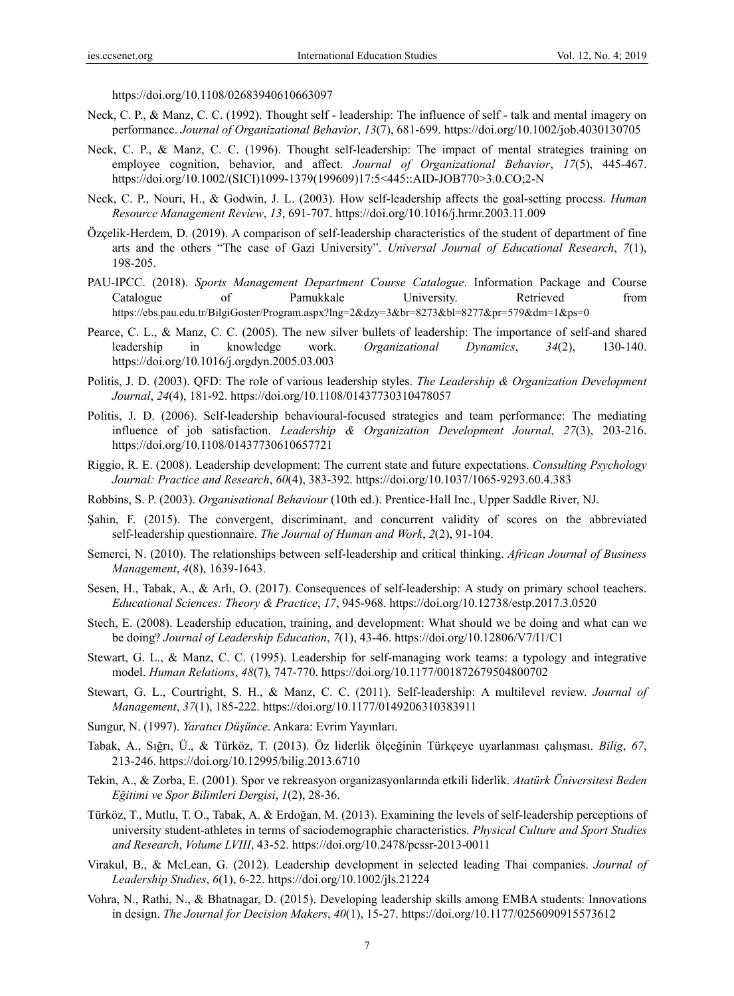https://doi.org/10.1108/02683940610663097

- Neck, C. P., & Manz, C. C. (1992). Thought self leadership: The influence of self talk and mental imagery on performance. *Journal of Organizational Behavior*, *13*(7), 681-699. https://doi.org/10.1002/job.4030130705
- Neck, C. P., & Manz, C. C. (1996). Thought self-leadership: The impact of mental strategies training on employee cognition, behavior, and affect. *Journal of Organizational Behavior*, *17*(5), 445-467. https://doi.org/10.1002/(SICI)1099-1379(199609)17:5<445::AID-JOB770>3.0.CO;2-N
- Neck, C. P., Nouri, H., & Godwin, J. L. (2003). How self-leadership affects the goal-setting process. *Human Resource Management Review*, *13*, 691-707. https://doi.org/10.1016/j.hrmr.2003.11.009
- Özçelik-Herdem, D. (2019). A comparison of self-leadership characteristics of the student of department of fine arts and the others "The case of Gazi University". *Universal Journal of Educational Research*, *7*(1), 198-205.
- PAU-IPCC. (2018). *Sports Management Department Course Catalogue*. Information Package and Course Catalogue of Pamukkale University. Retrieved from https://ebs.pau.edu.tr/BilgiGoster/Program.aspx?lng=2&dzy=3&br=8273&bl=8277&pr=579&dm=1&ps=0
- Pearce, C. L., & Manz, C. C. (2005). The new silver bullets of leadership: The importance of self-and shared leadership in knowledge work. *Organizational Dynamics*, *34*(2), 130-140. https://doi.org/10.1016/j.orgdyn.2005.03.003
- Politis, J. D. (2003). QFD: The role of various leadership styles. *The Leadership & Organization Development Journal*, *24*(4), 181-92. https://doi.org/10.1108/01437730310478057
- Politis, J. D. (2006). Self-leadership behavioural-focused strategies and team performance: The mediating influence of job satisfaction. *Leadership & Organization Development Journal*, *27*(3), 203-216. https://doi.org/10.1108/01437730610657721
- Riggio, R. E. (2008). Leadership development: The current state and future expectations. *Consulting Psychology Journal: Practice and Research*, *60*(4), 383-392. https://doi.org/10.1037/1065-9293.60.4.383
- Robbins, S. P. (2003). *Organisational Behaviour* (10th ed.). Prentice-Hall Inc., Upper Saddle River, NJ.
- Şahin, F. (2015). The convergent, discriminant, and concurrent validity of scores on the abbreviated self-leadership questionnaire. *The Journal of Human and Work*, *2*(2), 91-104.
- Semerci, N. (2010). The relationships between self-leadership and critical thinking. *African Journal of Business Management*, *4*(8), 1639-1643.
- Sesen, H., Tabak, A., & Arlı, O. (2017). Consequences of self-leadership: A study on primary school teachers. *Educational Sciences: Theory & Practice*, *17*, 945-968. https://doi.org/10.12738/estp.2017.3.0520
- Stech, E. (2008). Leadership education, training, and development: What should we be doing and what can we be doing? *Journal of Leadership Education*, *7*(1), 43-46. https://doi.org/10.12806/V7/I1/C1
- Stewart, G. L., & Manz, C. C. (1995). Leadership for self-managing work teams: a typology and integrative model. *Human Relations*, *48*(7), 747-770. https://doi.org/10.1177/001872679504800702
- Stewart, G. L., Courtright, S. H., & Manz, C. C. (2011). Self-leadership: A multilevel review. *Journal of Management*, *37*(1), 185-222. https://doi.org/10.1177/0149206310383911
- Sungur, N. (1997). *Yaratıcı Düşünce*. Ankara: Evrim Yayınları.
- Tabak, A., Sığrı, Ü., & Türköz, T. (2013). Öz liderlik ölçeğinin Türkçeye uyarlanması çalışması. *Bilig*, *67*, 213-246. https://doi.org/10.12995/bilig.2013.6710
- Tekin, A., & Zorba, E. (2001). Spor ve rekreasyon organizasyonlarında etkili liderlik. *Atatürk Üniversitesi Beden Eğitimi ve Spor Bilimleri Dergisi*, *1*(2), 28-36.
- Türköz, T., Mutlu, T. O., Tabak, A. & Erdoğan, M. (2013). Examining the levels of self-leadership perceptions of university student-athletes in terms of saciodemographic characteristics. *Physical Culture and Sport Studies and Research*, *Volume LVIII*, 43-52. https://doi.org/10.2478/pcssr-2013-0011
- Virakul, B., & McLean, G. (2012). Leadership development in selected leading Thai companies. *Journal of Leadership Studies*, *6*(1), 6-22. https://doi.org/10.1002/jls.21224
- Vohra, N., Rathi, N., & Bhatnagar, D. (2015). Developing leadership skills among EMBA students: Innovations in design. *The Journal for Decision Makers*, *40*(1), 15-27. https://doi.org/10.1177/0256090915573612